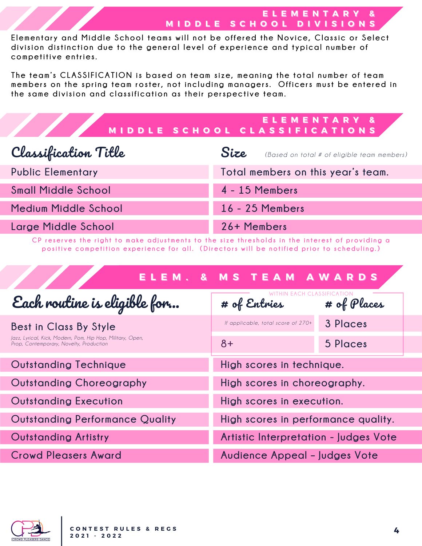### **EE LL EE MM EE NN TT AA RR YY && MIDDLE SCHOOL DIVISIONS**

Elementary and Middle School teams will not be offered the Novice, Classic or Select division distinction due to the general level of experience and typical number of **competiti ve en tries.**

The team's CLASSIFICATION is based on team size, meaning the total number of team members on the spring team roster, not including managers. Officers must be entered in **t he same di v ision and c lassi f i cation as t heir perspec ti ve team.**

|  | ELEMENTARY &                  |  |
|--|-------------------------------|--|
|  | MIDDLE SCHOOL CLASSIFICATIONS |  |

| Classification Title       | Size<br>(Based on total # of eligible team members) |  |
|----------------------------|-----------------------------------------------------|--|
| <b>Public Elementary</b>   | Total members on this year's team.                  |  |
| <b>Small Middle School</b> | 4 - 15 Members                                      |  |
| Medium Middle School       | 16 - 25 Members                                     |  |
| Large Middle School        | 26+ Members                                         |  |

CP reserves the right to make adjustments to the size thresholds in the interest of providing a positive competition experience for all. (Directors will be notified prior to scheduling.)

|                                                                                                       | ELEM. & MS TEAM AWARDS                |               |
|-------------------------------------------------------------------------------------------------------|---------------------------------------|---------------|
| Each routine is eligible for                                                                          | # of Entries                          | # of $Places$ |
| Best in Class By Style                                                                                | If applicable, total score of 270+    | 3 Places      |
| Jazz, Lyrical, Kick, Modern, Pom, Hip Hop, Military, Open,<br>Prop, Contemporary, Novelty, Production | $8+$                                  | 5 Places      |
| <b>Outstanding Technique</b>                                                                          | High scores in technique.             |               |
| <b>Outstanding Choreography</b>                                                                       | High scores in choreography.          |               |
| <b>Outstanding Execution</b>                                                                          | High scores in execution.             |               |
| <b>Outstanding Performance Quality</b>                                                                | High scores in performance quality.   |               |
| <b>Outstanding Artistry</b>                                                                           | Artistic Interpretation - Judges Vote |               |
| <b>Crowd Pleasers Award</b>                                                                           | Audience Appeal - Judges Vote         |               |

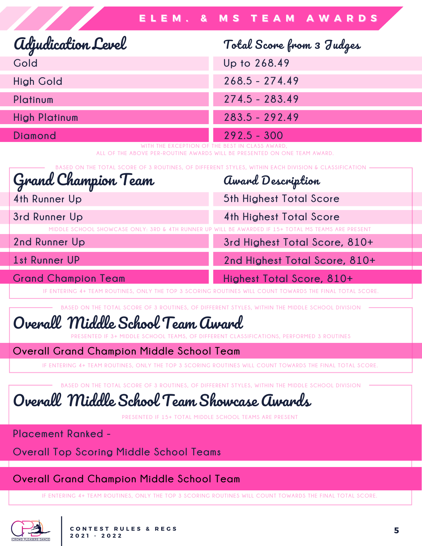Award Description

**5th Highest Total Score**

**4th Highest Total Score**

**3rd Highest Total Score, 810+**

**2nd Highest Total Score, 810+**

| <b>adjudication Level</b> | Total Score from 3 Judges |
|---------------------------|---------------------------|
| Gold                      | Up to 268.49              |
| <b>High Gold</b>          | $268.5 - 274.49$          |
| Platinum                  | $274.5 - 283.49$          |
| <b>High Platinum</b>      | $283.5 - 292.49$          |
| Diamond                   | $292.5 - 300$             |

**WITH THE EXCEPTION OF THE BEST IN CLASS AWARD, ALL OF THE ABOVE PER-ROUTINE AWARDS WILL BE PRESENTED ON ONE TEAM AWARD.**

**BASED ON THE TOTAL SCORE OF 3 ROUTINES, OF DIFFERENT STYLES, WITHIN EACH DIVISION & CLASSIFICATION**

Grand Champion Team

**4th Runner Up**

**3rd Runner Up**

DDI E SCHOOL SHOWCASE ONLY: 3RD & 4TH RUNNER UP WILL BE AWARDED IF 15+ TOTAL MS TEAMS ARE PRESENT

**2nd Runner Up**

**1st Runner UP**

## **Grand Champion Team**

#### **Highest Total Score, 810+** IF ENTERING 4+ TEAM ROUTINES, ONLY THE TOP 3 SCORING ROUTINES WILL COUNT TOWARDS THE FINAL TOTAL SCORE.

**BASED ON THE TOTAL SCORE OF 3 ROUTINES, OF DIFFERENT STYLES, WITHIN THE MIDDLE SCHOOL DIVISION**

# Overall Middle School Team Award

**PRESENTED IF 3+ MIDDLE SCHOOL TEAMS, OF DIFFERENT CLASSIFICATIONS, PERFORMED 3 ROUTINES**

## **Overall Grand Champion Middle School Team**

IF ENTERING 4+ TEAM ROUTINES. ONLY THE TOP 3 SCORING ROUTINES WILL COUNT TOWARDS THE FINAL TOTAL SCORE

**BASED ON THE TOTAL SCORE OF 3 ROUTINES, OF DIFFERENT STYLES, WITHIN THE MIDDLE SCHOOL DIVISION**

Overall Middle School Team Showcase Awards

**PRESENTED IF 15+ TOTAL MIDDLE SCHOOL TEAMS ARE PRESENT**

**Placement Ranked -**

**Overall Top Scoring Middle School Teams**

## **Overall Grand Champion Middle School Team**

IF ENTERING 4+ TEAM ROUTINES, ONLY THE TOP 3 SCORING ROUTINES WILL COUNT TOWARDS THE FINAL TOTAL SCORE.